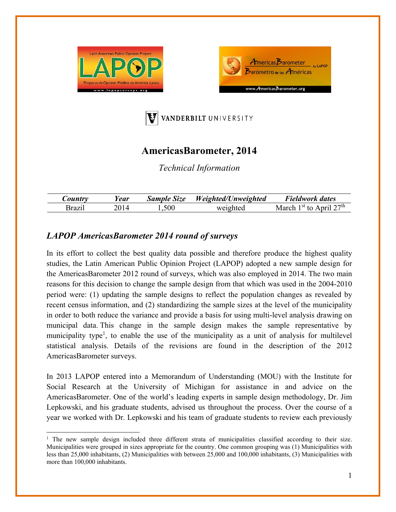





# **AmericasBarometer, 2014**

*Technical Information* 

| $\mathcal{L}$ ountr $\mathbf{r}$ | ear/ | <b>Sample Size</b> | Weighted/Unweighted | <b>Fieldwork dates</b>                       |
|----------------------------------|------|--------------------|---------------------|----------------------------------------------|
| 3razı                            |      | 1,500              | weighted            | 27th<br>l <sup>∍t</sup> f∩<br>March<br>Anril |

## *LAPOP AmericasBarometer 2014 round of surveys*

In its effort to collect the best quality data possible and therefore produce the highest quality studies, the Latin American Public Opinion Project (LAPOP) adopted a new sample design for the AmericasBarometer 2012 round of surveys, which was also employed in 2014. The two main reasons for this decision to change the sample design from that which was used in the 2004-2010 period were: (1) updating the sample designs to reflect the population changes as revealed by recent census information, and (2) standardizing the sample sizes at the level of the municipality in order to both reduce the variance and provide a basis for using multi-level analysis drawing on municipal data. This change in the sample design makes the sample representative by municipality type<sup>1</sup>, to enable the use of the municipality as a unit of analysis for multilevel statistical analysis. Details of the revisions are found in the description of the 2012 AmericasBarometer surveys.

In 2013 LAPOP entered into a Memorandum of Understanding (MOU) with the Institute for Social Research at the University of Michigan for assistance in and advice on the AmericasBarometer. One of the world's leading experts in sample design methodology, Dr. Jim Lepkowski, and his graduate students, advised us throughout the process. Over the course of a year we worked with Dr. Lepkowski and his team of graduate students to review each previously

<sup>&</sup>lt;sup>1</sup> The new sample design included three different strata of municipalities classified according to their size. Municipalities were grouped in sizes appropriate for the country. One common grouping was (1) Municipalities with less than 25,000 inhabitants, (2) Municipalities with between 25,000 and 100,000 inhabitants, (3) Municipalities with more than 100,000 inhabitants.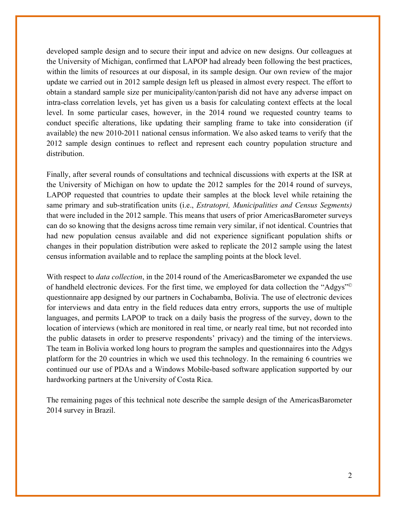developed sample design and to secure their input and advice on new designs. Our colleagues at the University of Michigan, confirmed that LAPOP had already been following the best practices, within the limits of resources at our disposal, in its sample design. Our own review of the major update we carried out in 2012 sample design left us pleased in almost every respect. The effort to obtain a standard sample size per municipality/canton/parish did not have any adverse impact on intra-class correlation levels, yet has given us a basis for calculating context effects at the local level. In some particular cases, however, in the 2014 round we requested country teams to conduct specific alterations, like updating their sampling frame to take into consideration (if available) the new 2010-2011 national census information. We also asked teams to verify that the 2012 sample design continues to reflect and represent each country population structure and distribution.

Finally, after several rounds of consultations and technical discussions with experts at the ISR at the University of Michigan on how to update the 2012 samples for the 2014 round of surveys, LAPOP requested that countries to update their samples at the block level while retaining the same primary and sub-stratification units (i.e., *Estratopri, Municipalities and Census Segments)*  that were included in the 2012 sample. This means that users of prior AmericasBarometer surveys can do so knowing that the designs across time remain very similar, if not identical. Countries that had new population census available and did not experience significant population shifts or changes in their population distribution were asked to replicate the 2012 sample using the latest census information available and to replace the sampling points at the block level.

With respect to *data collection*, in the 2014 round of the AmericasBarometer we expanded the use of handheld electronic devices. For the first time, we employed for data collection the "Adgys"© questionnaire app designed by our partners in Cochabamba, Bolivia. The use of electronic devices for interviews and data entry in the field reduces data entry errors, supports the use of multiple languages, and permits LAPOP to track on a daily basis the progress of the survey, down to the location of interviews (which are monitored in real time, or nearly real time, but not recorded into the public datasets in order to preserve respondents' privacy) and the timing of the interviews. The team in Bolivia worked long hours to program the samples and questionnaires into the Adgys platform for the 20 countries in which we used this technology. In the remaining 6 countries we continued our use of PDAs and a Windows Mobile-based software application supported by our hardworking partners at the University of Costa Rica.

The remaining pages of this technical note describe the sample design of the AmericasBarometer 2014 survey in Brazil.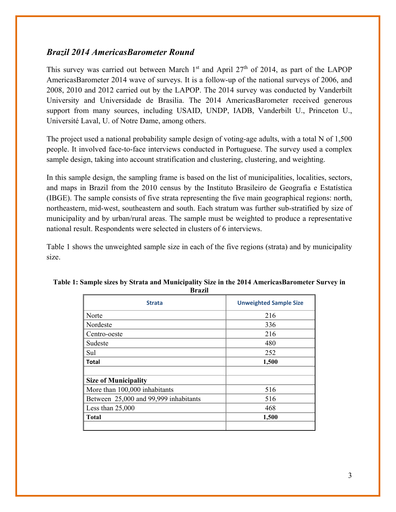### *Brazil 2014 AmericasBarometer Round*

This survey was carried out between March  $1<sup>st</sup>$  and April 27<sup>th</sup> of 2014, as part of the LAPOP AmericasBarometer 2014 wave of surveys. It is a follow-up of the national surveys of 2006, and 2008, 2010 and 2012 carried out by the LAPOP. The 2014 survey was conducted by Vanderbilt University and Universidade de Brasilia. The 2014 AmericasBarometer received generous support from many sources, including USAID, UNDP, IADB, Vanderbilt U., Princeton U., Université Laval, U. of Notre Dame, among others.

The project used a national probability sample design of voting-age adults, with a total N of 1,500 people. It involved face-to-face interviews conducted in Portuguese. The survey used a complex sample design, taking into account stratification and clustering, clustering, and weighting.

In this sample design, the sampling frame is based on the list of municipalities, localities, sectors, and maps in Brazil from the 2010 census by the Instituto Brasileiro de Geografia e Estatística (IBGE). The sample consists of five strata representing the five main geographical regions: north, northeastern, mid-west, southeastern and south. Each stratum was further sub-stratified by size of municipality and by urban/rural areas. The sample must be weighted to produce a representative national result. Respondents were selected in clusters of 6 interviews.

Table 1 shows the unweighted sample size in each of the five regions (strata) and by municipality size.

| vı azıı                               |                               |  |  |  |
|---------------------------------------|-------------------------------|--|--|--|
| <b>Strata</b>                         | <b>Unweighted Sample Size</b> |  |  |  |
| Norte                                 | 216                           |  |  |  |
| Nordeste                              | 336                           |  |  |  |
| Centro-oeste                          | 216                           |  |  |  |
| Sudeste                               | 480                           |  |  |  |
| Sul                                   | 252                           |  |  |  |
| <b>Total</b>                          | 1,500                         |  |  |  |
|                                       |                               |  |  |  |
| <b>Size of Municipality</b>           |                               |  |  |  |
| More than 100,000 inhabitants         | 516                           |  |  |  |
| Between 25,000 and 99,999 inhabitants | 516                           |  |  |  |
| Less than $25,000$                    | 468                           |  |  |  |
| Total                                 | 1,500                         |  |  |  |
|                                       |                               |  |  |  |

#### **Table 1: Sample sizes by Strata and Municipality Size in the 2014 AmericasBarometer Survey in Brazil**